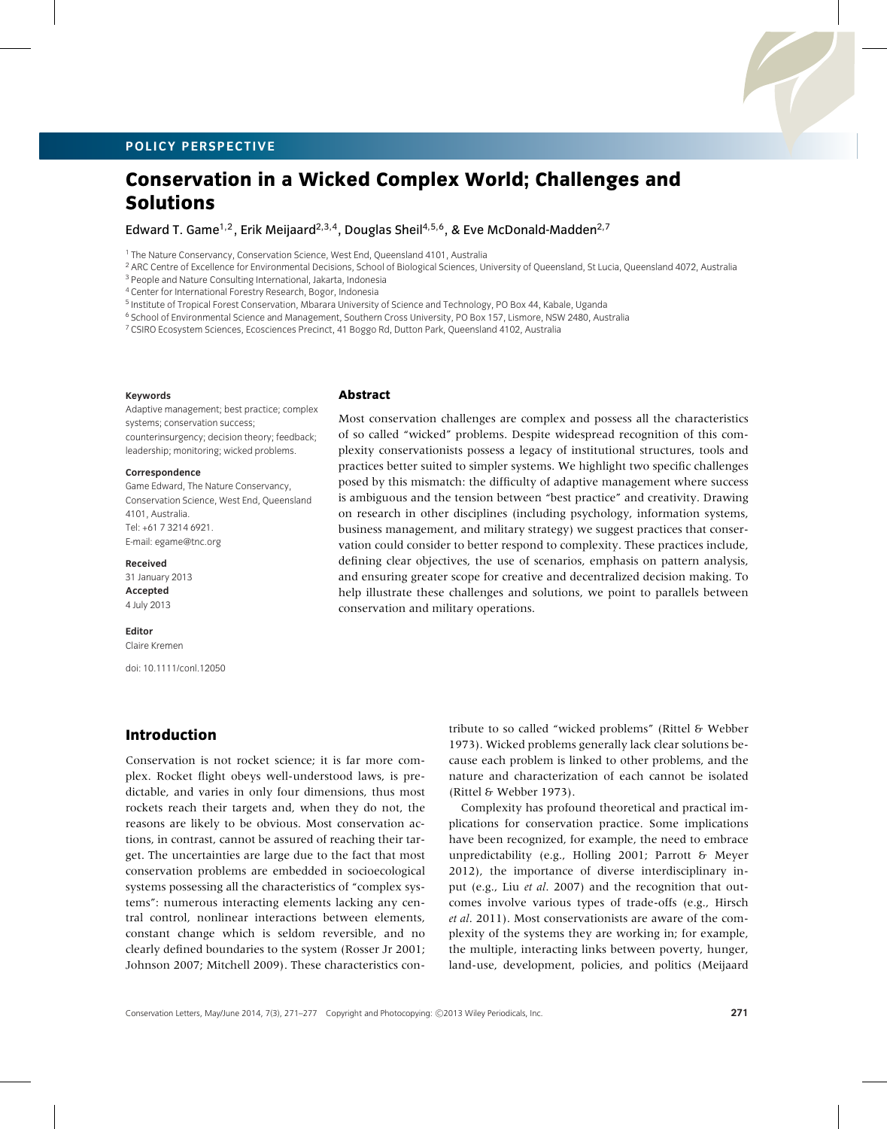## **POLICY PERSPECTIVE**



# **Conservation in a Wicked Complex World; Challenges and Solutions**

Edward T. Game<sup>1,2</sup>, Erik Meijaard<sup>2,3,4</sup>, Douglas Sheil<sup>4,5,6</sup>, & Eve McDonald-Madden<sup>2,7</sup>

<sup>1</sup> The Nature Conservancy, Conservation Science, West End, Queensland 4101, Australia

<sup>2</sup> ARC Centre of Excellence for Environmental Decisions, School of Biological Sciences, University of Queensland, St Lucia, Queensland 4072, Australia

<sup>3</sup> People and Nature Consulting International, Jakarta, Indonesia

<sup>4</sup> Center for International Forestry Research, Bogor, Indonesia

<sup>5</sup> Institute of Tropical Forest Conservation, Mbarara University of Science and Technology, PO Box 44, Kabale, Uganda

<sup>6</sup> School of Environmental Science and Management, Southern Cross University, PO Box 157, Lismore, NSW 2480, Australia

<sup>7</sup> CSIRO Ecosystem Sciences, Ecosciences Precinct, 41 Boggo Rd, Dutton Park, Queensland 4102, Australia

#### **Keywords**

Adaptive management; best practice; complex systems; conservation success; counterinsurgency; decision theory; feedback; leadership; monitoring; wicked problems.

#### **Correspondence**

Game Edward, The Nature Conservancy, Conservation Science, West End, Queensland 4101, Australia. Tel: +61 7 3214 6921. E-mail: egame@tnc.org

#### **Received**

31 January 2013 **Accepted** 4 July 2013

**Editor**

Claire Kremen

doi: 10.1111/conl.12050

# **Introduction**

Conservation is not rocket science; it is far more complex. Rocket flight obeys well-understood laws, is predictable, and varies in only four dimensions, thus most rockets reach their targets and, when they do not, the reasons are likely to be obvious. Most conservation actions, in contrast, cannot be assured of reaching their target. The uncertainties are large due to the fact that most conservation problems are embedded in socioecological systems possessing all the characteristics of "complex systems": numerous interacting elements lacking any central control, nonlinear interactions between elements, constant change which is seldom reversible, and no clearly defined boundaries to the system (Rosser Jr 2001; Johnson 2007; Mitchell 2009). These characteristics con-

**Abstract**

Most conservation challenges are complex and possess all the characteristics of so called "wicked" problems. Despite widespread recognition of this complexity conservationists possess a legacy of institutional structures, tools and practices better suited to simpler systems. We highlight two specific challenges posed by this mismatch: the difficulty of adaptive management where success is ambiguous and the tension between "best practice" and creativity. Drawing on research in other disciplines (including psychology, information systems, business management, and military strategy) we suggest practices that conservation could consider to better respond to complexity. These practices include, defining clear objectives, the use of scenarios, emphasis on pattern analysis, and ensuring greater scope for creative and decentralized decision making. To help illustrate these challenges and solutions, we point to parallels between conservation and military operations.

> tribute to so called "wicked problems" (Rittel & Webber 1973). Wicked problems generally lack clear solutions because each problem is linked to other problems, and the nature and characterization of each cannot be isolated (Rittel & Webber 1973).

> Complexity has profound theoretical and practical implications for conservation practice. Some implications have been recognized, for example, the need to embrace unpredictability (e.g., Holling 2001; Parrott & Meyer 2012), the importance of diverse interdisciplinary input (e.g., Liu *et al*. 2007) and the recognition that outcomes involve various types of trade-offs (e.g., Hirsch *et al*. 2011). Most conservationists are aware of the complexity of the systems they are working in; for example, the multiple, interacting links between poverty, hunger, land-use, development, policies, and politics (Meijaard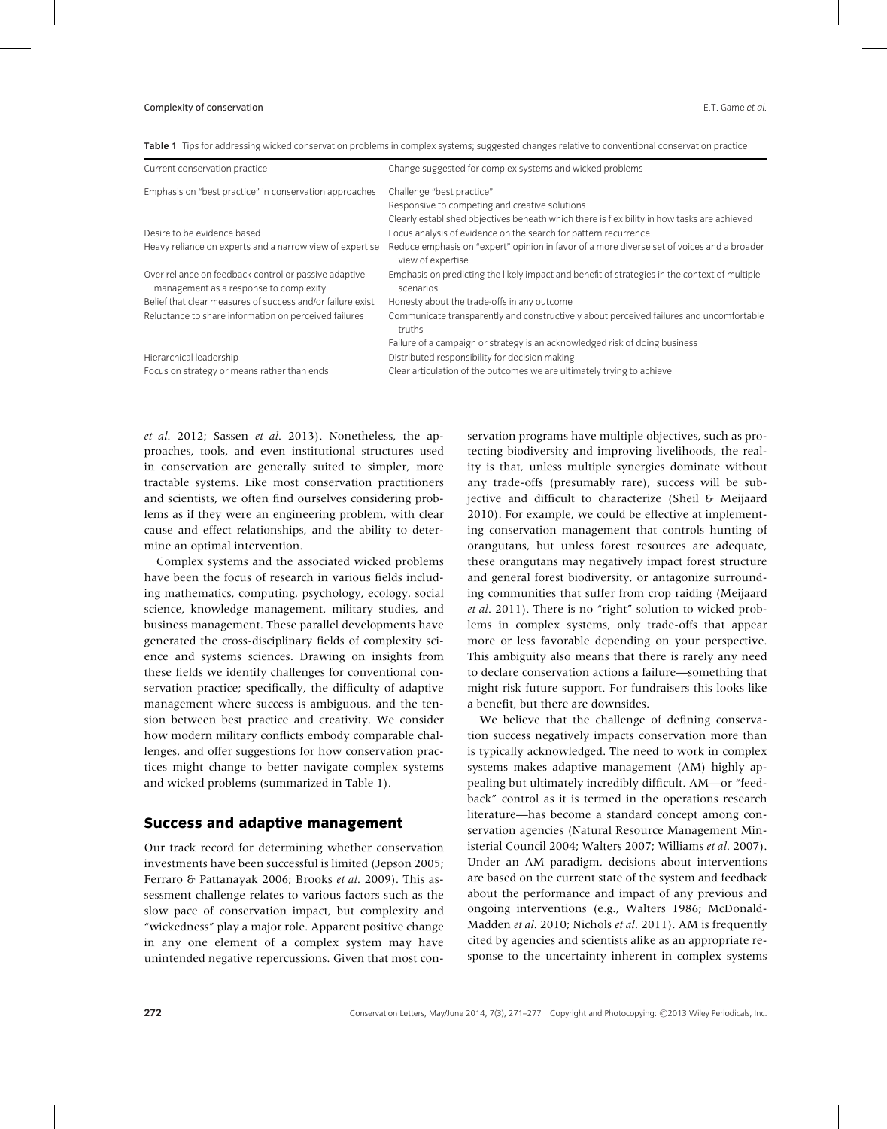**Table 1** Tips for addressing wicked conservation problems in complex systems; suggested changes relative to conventional conservation practice

| Current conservation practice                                                                   | Change suggested for complex systems and wicked problems                                                        |
|-------------------------------------------------------------------------------------------------|-----------------------------------------------------------------------------------------------------------------|
| Emphasis on "best practice" in conservation approaches                                          | Challenge "best practice"                                                                                       |
|                                                                                                 | Responsive to competing and creative solutions                                                                  |
|                                                                                                 | Clearly established objectives beneath which there is flexibility in how tasks are achieved                     |
| Desire to be evidence based                                                                     | Focus analysis of evidence on the search for pattern recurrence                                                 |
| Heavy reliance on experts and a narrow view of expertise                                        | Reduce emphasis on "expert" opinion in favor of a more diverse set of voices and a broader<br>view of expertise |
| Over reliance on feedback control or passive adaptive<br>management as a response to complexity | Emphasis on predicting the likely impact and benefit of strategies in the context of multiple<br>scenarios      |
| Belief that clear measures of success and/or failure exist                                      | Honesty about the trade-offs in any outcome                                                                     |
| Reluctance to share information on perceived failures                                           | Communicate transparently and constructively about perceived failures and uncomfortable<br>truths               |
|                                                                                                 | Failure of a campaign or strategy is an acknowledged risk of doing business                                     |
| Hierarchical leadership                                                                         | Distributed responsibility for decision making                                                                  |
| Focus on strategy or means rather than ends                                                     | Clear articulation of the outcomes we are ultimately trying to achieve                                          |

*et al*. 2012; Sassen *et al*. 2013). Nonetheless, the approaches, tools, and even institutional structures used in conservation are generally suited to simpler, more tractable systems. Like most conservation practitioners and scientists, we often find ourselves considering problems as if they were an engineering problem, with clear cause and effect relationships, and the ability to determine an optimal intervention.

Complex systems and the associated wicked problems have been the focus of research in various fields including mathematics, computing, psychology, ecology, social science, knowledge management, military studies, and business management. These parallel developments have generated the cross-disciplinary fields of complexity science and systems sciences. Drawing on insights from these fields we identify challenges for conventional conservation practice; specifically, the difficulty of adaptive management where success is ambiguous, and the tension between best practice and creativity. We consider how modern military conflicts embody comparable challenges, and offer suggestions for how conservation practices might change to better navigate complex systems and wicked problems (summarized in Table 1).

### **Success and adaptive management**

Our track record for determining whether conservation investments have been successful is limited (Jepson 2005; Ferraro & Pattanayak 2006; Brooks *et al*. 2009). This assessment challenge relates to various factors such as the slow pace of conservation impact, but complexity and "wickedness" play a major role. Apparent positive change in any one element of a complex system may have unintended negative repercussions. Given that most con-

servation programs have multiple objectives, such as protecting biodiversity and improving livelihoods, the reality is that, unless multiple synergies dominate without any trade-offs (presumably rare), success will be subjective and difficult to characterize (Sheil & Meijaard 2010). For example, we could be effective at implementing conservation management that controls hunting of orangutans, but unless forest resources are adequate, these orangutans may negatively impact forest structure and general forest biodiversity, or antagonize surrounding communities that suffer from crop raiding (Meijaard *et al*. 2011). There is no "right" solution to wicked problems in complex systems, only trade-offs that appear more or less favorable depending on your perspective. This ambiguity also means that there is rarely any need to declare conservation actions a failure—something that might risk future support. For fundraisers this looks like a benefit, but there are downsides.

We believe that the challenge of defining conservation success negatively impacts conservation more than is typically acknowledged. The need to work in complex systems makes adaptive management (AM) highly appealing but ultimately incredibly difficult. AM—or "feedback" control as it is termed in the operations research literature—has become a standard concept among conservation agencies (Natural Resource Management Ministerial Council 2004; Walters 2007; Williams *et al*. 2007). Under an AM paradigm, decisions about interventions are based on the current state of the system and feedback about the performance and impact of any previous and ongoing interventions (e.g., Walters 1986; McDonald-Madden *et al*. 2010; Nichols *et al*. 2011). AM is frequently cited by agencies and scientists alike as an appropriate response to the uncertainty inherent in complex systems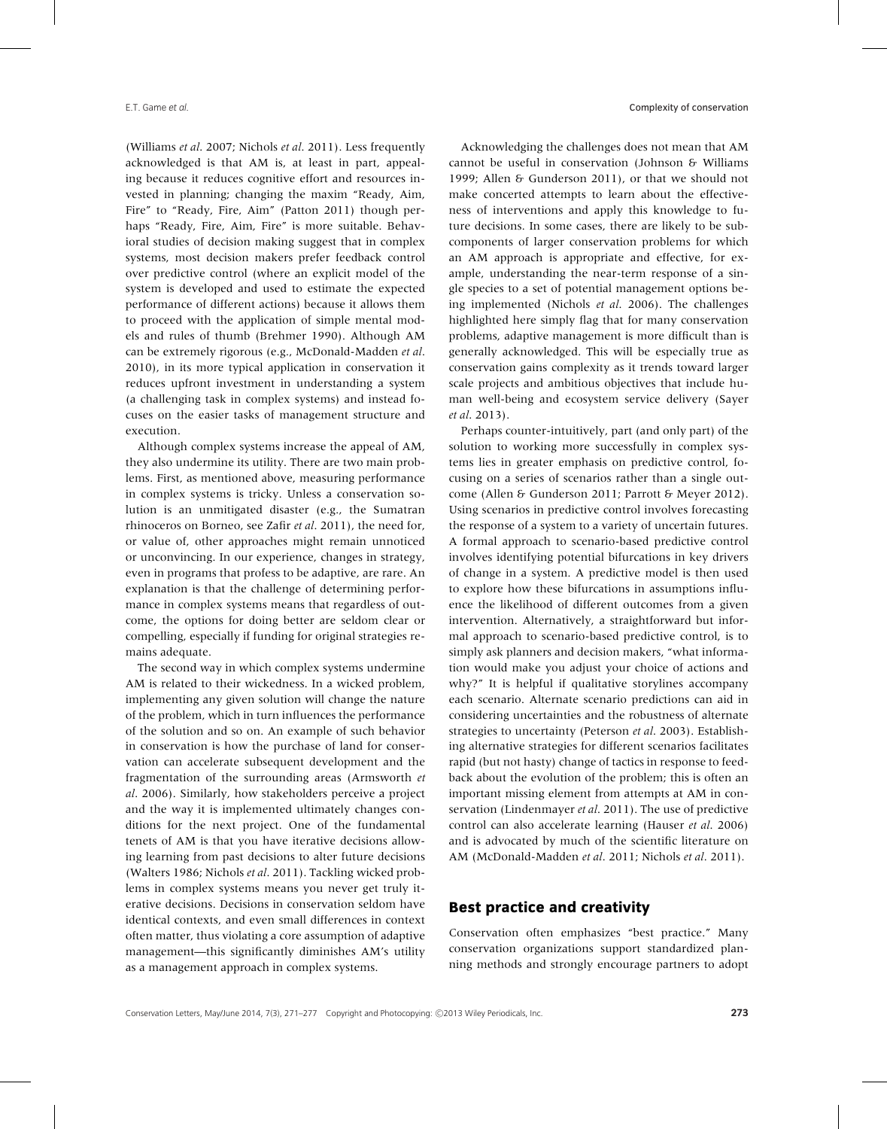(Williams *et al*. 2007; Nichols *et al*. 2011). Less frequently acknowledged is that AM is, at least in part, appealing because it reduces cognitive effort and resources invested in planning; changing the maxim "Ready, Aim, Fire" to "Ready, Fire, Aim" (Patton 2011) though perhaps "Ready, Fire, Aim, Fire" is more suitable. Behavioral studies of decision making suggest that in complex systems, most decision makers prefer feedback control over predictive control (where an explicit model of the system is developed and used to estimate the expected performance of different actions) because it allows them to proceed with the application of simple mental models and rules of thumb (Brehmer 1990). Although AM can be extremely rigorous (e.g., McDonald-Madden *et al*. 2010), in its more typical application in conservation it reduces upfront investment in understanding a system (a challenging task in complex systems) and instead focuses on the easier tasks of management structure and execution.

Although complex systems increase the appeal of AM, they also undermine its utility. There are two main problems. First, as mentioned above, measuring performance in complex systems is tricky. Unless a conservation solution is an unmitigated disaster (e.g., the Sumatran rhinoceros on Borneo, see Zafir *et al*. 2011), the need for, or value of, other approaches might remain unnoticed or unconvincing. In our experience, changes in strategy, even in programs that profess to be adaptive, are rare. An explanation is that the challenge of determining performance in complex systems means that regardless of outcome, the options for doing better are seldom clear or compelling, especially if funding for original strategies remains adequate.

The second way in which complex systems undermine AM is related to their wickedness. In a wicked problem, implementing any given solution will change the nature of the problem, which in turn influences the performance of the solution and so on. An example of such behavior in conservation is how the purchase of land for conservation can accelerate subsequent development and the fragmentation of the surrounding areas (Armsworth *et al*. 2006). Similarly, how stakeholders perceive a project and the way it is implemented ultimately changes conditions for the next project. One of the fundamental tenets of AM is that you have iterative decisions allowing learning from past decisions to alter future decisions (Walters 1986; Nichols *et al*. 2011). Tackling wicked problems in complex systems means you never get truly iterative decisions. Decisions in conservation seldom have identical contexts, and even small differences in context often matter, thus violating a core assumption of adaptive management—this significantly diminishes AM's utility as a management approach in complex systems.

Acknowledging the challenges does not mean that AM cannot be useful in conservation (Johnson & Williams 1999; Allen & Gunderson 2011), or that we should not make concerted attempts to learn about the effectiveness of interventions and apply this knowledge to future decisions. In some cases, there are likely to be subcomponents of larger conservation problems for which an AM approach is appropriate and effective, for example, understanding the near-term response of a single species to a set of potential management options being implemented (Nichols *et al*. 2006). The challenges highlighted here simply flag that for many conservation problems, adaptive management is more difficult than is generally acknowledged. This will be especially true as conservation gains complexity as it trends toward larger scale projects and ambitious objectives that include human well-being and ecosystem service delivery (Sayer *et al*. 2013).

Perhaps counter-intuitively, part (and only part) of the solution to working more successfully in complex systems lies in greater emphasis on predictive control, focusing on a series of scenarios rather than a single outcome (Allen & Gunderson 2011; Parrott & Meyer 2012). Using scenarios in predictive control involves forecasting the response of a system to a variety of uncertain futures. A formal approach to scenario-based predictive control involves identifying potential bifurcations in key drivers of change in a system. A predictive model is then used to explore how these bifurcations in assumptions influence the likelihood of different outcomes from a given intervention. Alternatively, a straightforward but informal approach to scenario-based predictive control, is to simply ask planners and decision makers, "what information would make you adjust your choice of actions and why?" It is helpful if qualitative storylines accompany each scenario. Alternate scenario predictions can aid in considering uncertainties and the robustness of alternate strategies to uncertainty (Peterson *et al*. 2003). Establishing alternative strategies for different scenarios facilitates rapid (but not hasty) change of tactics in response to feedback about the evolution of the problem; this is often an important missing element from attempts at AM in conservation (Lindenmayer *et al*. 2011). The use of predictive control can also accelerate learning (Hauser *et al*. 2006) and is advocated by much of the scientific literature on AM (McDonald-Madden *et al*. 2011; Nichols *et al*. 2011).

## **Best practice and creativity**

Conservation often emphasizes "best practice." Many conservation organizations support standardized planning methods and strongly encourage partners to adopt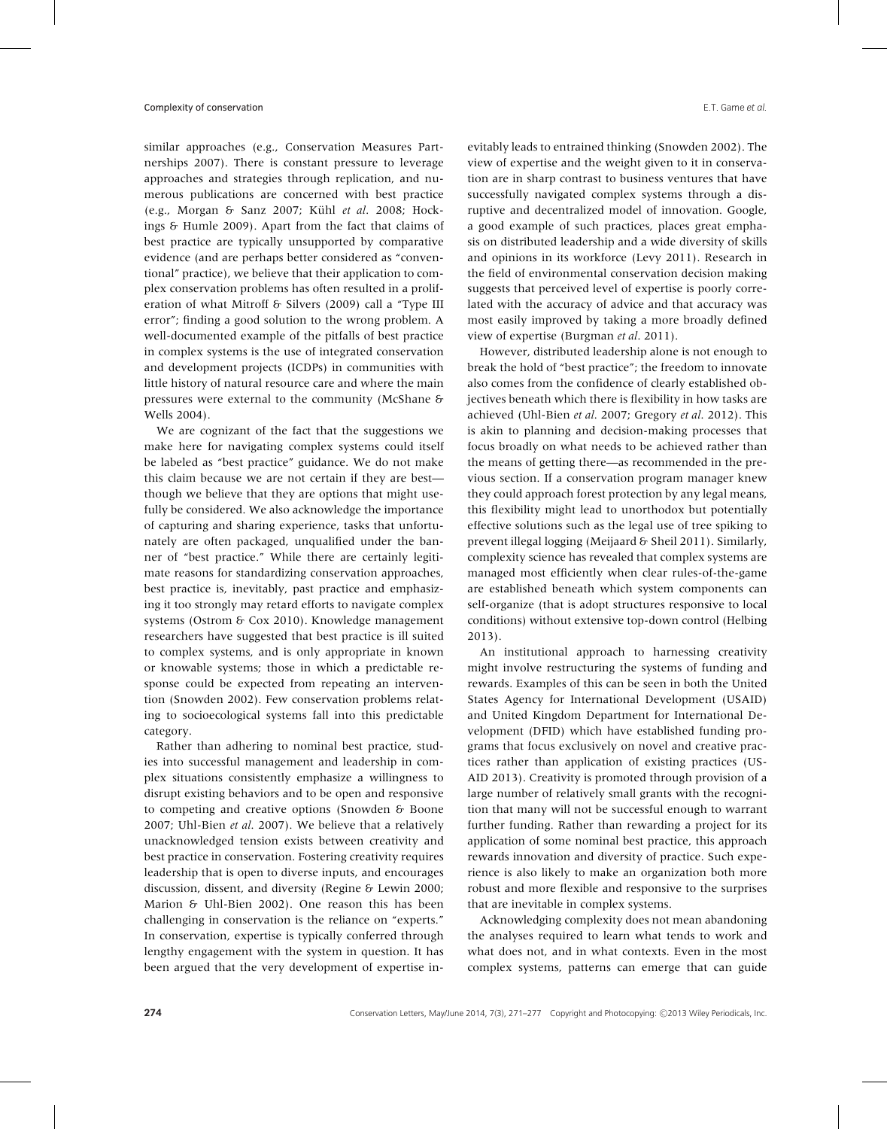similar approaches (e.g., Conservation Measures Partnerships 2007). There is constant pressure to leverage approaches and strategies through replication, and numerous publications are concerned with best practice (e.g., Morgan & Sanz 2007; Kühl et al. 2008; Hockings & Humle 2009). Apart from the fact that claims of best practice are typically unsupported by comparative evidence (and are perhaps better considered as "conventional" practice), we believe that their application to complex conservation problems has often resulted in a proliferation of what Mitroff & Silvers (2009) call a "Type III error"; finding a good solution to the wrong problem. A well-documented example of the pitfalls of best practice in complex systems is the use of integrated conservation and development projects (ICDPs) in communities with little history of natural resource care and where the main pressures were external to the community (McShane & Wells 2004).

We are cognizant of the fact that the suggestions we make here for navigating complex systems could itself be labeled as "best practice" guidance. We do not make this claim because we are not certain if they are best though we believe that they are options that might usefully be considered. We also acknowledge the importance of capturing and sharing experience, tasks that unfortunately are often packaged, unqualified under the banner of "best practice." While there are certainly legitimate reasons for standardizing conservation approaches, best practice is, inevitably, past practice and emphasizing it too strongly may retard efforts to navigate complex systems (Ostrom & Cox 2010). Knowledge management researchers have suggested that best practice is ill suited to complex systems, and is only appropriate in known or knowable systems; those in which a predictable response could be expected from repeating an intervention (Snowden 2002). Few conservation problems relating to socioecological systems fall into this predictable category.

Rather than adhering to nominal best practice, studies into successful management and leadership in complex situations consistently emphasize a willingness to disrupt existing behaviors and to be open and responsive to competing and creative options (Snowden & Boone 2007; Uhl-Bien *et al*. 2007). We believe that a relatively unacknowledged tension exists between creativity and best practice in conservation. Fostering creativity requires leadership that is open to diverse inputs, and encourages discussion, dissent, and diversity (Regine & Lewin 2000; Marion & Uhl-Bien 2002). One reason this has been challenging in conservation is the reliance on "experts." In conservation, expertise is typically conferred through lengthy engagement with the system in question. It has been argued that the very development of expertise inevitably leads to entrained thinking (Snowden 2002). The view of expertise and the weight given to it in conservation are in sharp contrast to business ventures that have successfully navigated complex systems through a disruptive and decentralized model of innovation. Google, a good example of such practices, places great emphasis on distributed leadership and a wide diversity of skills and opinions in its workforce (Levy 2011). Research in the field of environmental conservation decision making suggests that perceived level of expertise is poorly correlated with the accuracy of advice and that accuracy was most easily improved by taking a more broadly defined view of expertise (Burgman *et al*. 2011).

However, distributed leadership alone is not enough to break the hold of "best practice"; the freedom to innovate also comes from the confidence of clearly established objectives beneath which there is flexibility in how tasks are achieved (Uhl-Bien *et al*. 2007; Gregory *et al*. 2012). This is akin to planning and decision-making processes that focus broadly on what needs to be achieved rather than the means of getting there—as recommended in the previous section. If a conservation program manager knew they could approach forest protection by any legal means, this flexibility might lead to unorthodox but potentially effective solutions such as the legal use of tree spiking to prevent illegal logging (Meijaard & Sheil 2011). Similarly, complexity science has revealed that complex systems are managed most efficiently when clear rules-of-the-game are established beneath which system components can self-organize (that is adopt structures responsive to local conditions) without extensive top-down control (Helbing 2013).

An institutional approach to harnessing creativity might involve restructuring the systems of funding and rewards. Examples of this can be seen in both the United States Agency for International Development (USAID) and United Kingdom Department for International Development (DFID) which have established funding programs that focus exclusively on novel and creative practices rather than application of existing practices (US-AID 2013). Creativity is promoted through provision of a large number of relatively small grants with the recognition that many will not be successful enough to warrant further funding. Rather than rewarding a project for its application of some nominal best practice, this approach rewards innovation and diversity of practice. Such experience is also likely to make an organization both more robust and more flexible and responsive to the surprises that are inevitable in complex systems.

Acknowledging complexity does not mean abandoning the analyses required to learn what tends to work and what does not, and in what contexts. Even in the most complex systems, patterns can emerge that can guide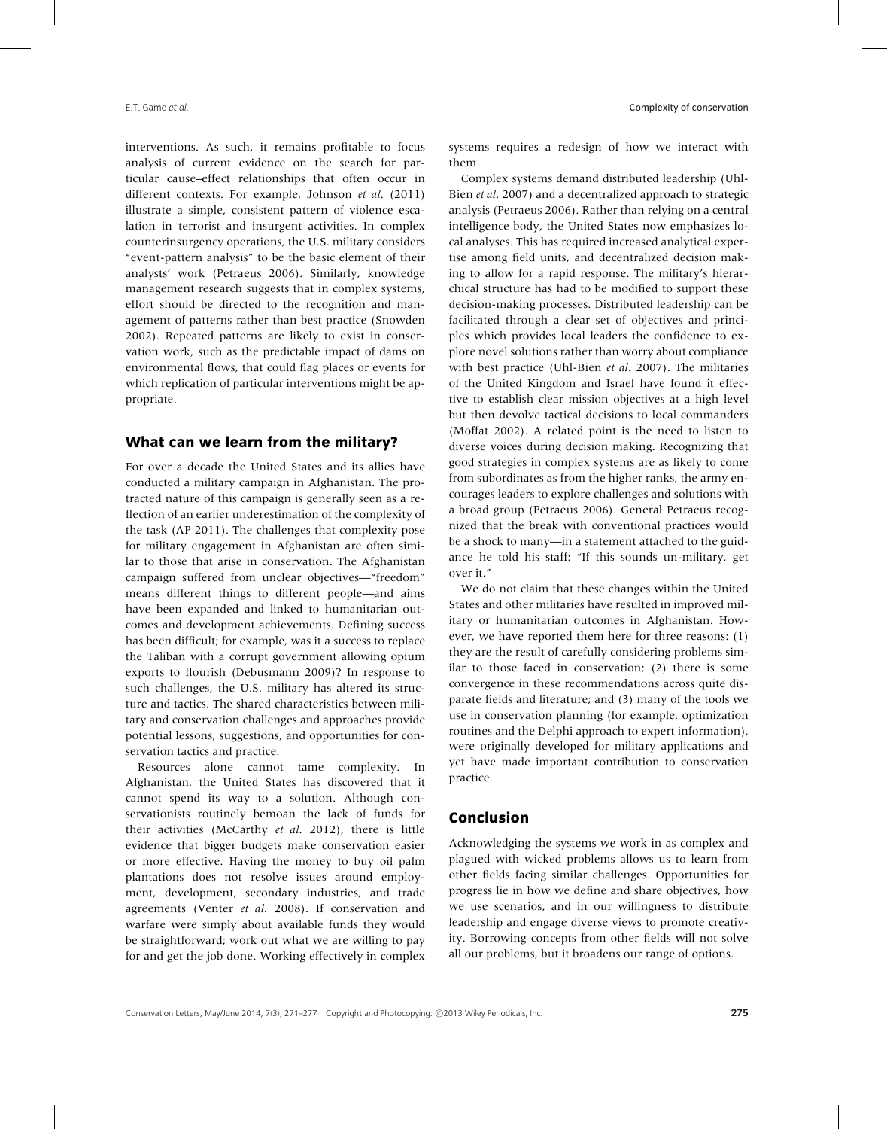interventions. As such, it remains profitable to focus analysis of current evidence on the search for particular cause–effect relationships that often occur in different contexts. For example, Johnson *et al*. (2011) illustrate a simple, consistent pattern of violence escalation in terrorist and insurgent activities. In complex counterinsurgency operations, the U.S. military considers "event-pattern analysis" to be the basic element of their analysts' work (Petraeus 2006). Similarly, knowledge management research suggests that in complex systems, effort should be directed to the recognition and management of patterns rather than best practice (Snowden 2002). Repeated patterns are likely to exist in conservation work, such as the predictable impact of dams on environmental flows, that could flag places or events for which replication of particular interventions might be appropriate.

## **What can we learn from the military?**

For over a decade the United States and its allies have conducted a military campaign in Afghanistan. The protracted nature of this campaign is generally seen as a reflection of an earlier underestimation of the complexity of the task (AP 2011). The challenges that complexity pose for military engagement in Afghanistan are often similar to those that arise in conservation. The Afghanistan campaign suffered from unclear objectives—"freedom" means different things to different people—and aims have been expanded and linked to humanitarian outcomes and development achievements. Defining success has been difficult; for example, was it a success to replace the Taliban with a corrupt government allowing opium exports to flourish (Debusmann 2009)? In response to such challenges, the U.S. military has altered its structure and tactics. The shared characteristics between military and conservation challenges and approaches provide potential lessons, suggestions, and opportunities for conservation tactics and practice.

Resources alone cannot tame complexity. In Afghanistan, the United States has discovered that it cannot spend its way to a solution. Although conservationists routinely bemoan the lack of funds for their activities (McCarthy *et al*. 2012), there is little evidence that bigger budgets make conservation easier or more effective. Having the money to buy oil palm plantations does not resolve issues around employment, development, secondary industries, and trade agreements (Venter *et al*. 2008). If conservation and warfare were simply about available funds they would be straightforward; work out what we are willing to pay for and get the job done. Working effectively in complex systems requires a redesign of how we interact with them.

Complex systems demand distributed leadership (Uhl-Bien *et al*. 2007) and a decentralized approach to strategic analysis (Petraeus 2006). Rather than relying on a central intelligence body, the United States now emphasizes local analyses. This has required increased analytical expertise among field units, and decentralized decision making to allow for a rapid response. The military's hierarchical structure has had to be modified to support these decision-making processes. Distributed leadership can be facilitated through a clear set of objectives and principles which provides local leaders the confidence to explore novel solutions rather than worry about compliance with best practice (Uhl-Bien *et al*. 2007). The militaries of the United Kingdom and Israel have found it effective to establish clear mission objectives at a high level but then devolve tactical decisions to local commanders (Moffat 2002). A related point is the need to listen to diverse voices during decision making. Recognizing that good strategies in complex systems are as likely to come from subordinates as from the higher ranks, the army encourages leaders to explore challenges and solutions with a broad group (Petraeus 2006). General Petraeus recognized that the break with conventional practices would be a shock to many—in a statement attached to the guidance he told his staff: "If this sounds un-military, get over it."

We do not claim that these changes within the United States and other militaries have resulted in improved military or humanitarian outcomes in Afghanistan. However, we have reported them here for three reasons: (1) they are the result of carefully considering problems similar to those faced in conservation; (2) there is some convergence in these recommendations across quite disparate fields and literature; and (3) many of the tools we use in conservation planning (for example, optimization routines and the Delphi approach to expert information), were originally developed for military applications and yet have made important contribution to conservation practice.

#### **Conclusion**

Acknowledging the systems we work in as complex and plagued with wicked problems allows us to learn from other fields facing similar challenges. Opportunities for progress lie in how we define and share objectives, how we use scenarios, and in our willingness to distribute leadership and engage diverse views to promote creativity. Borrowing concepts from other fields will not solve all our problems, but it broadens our range of options.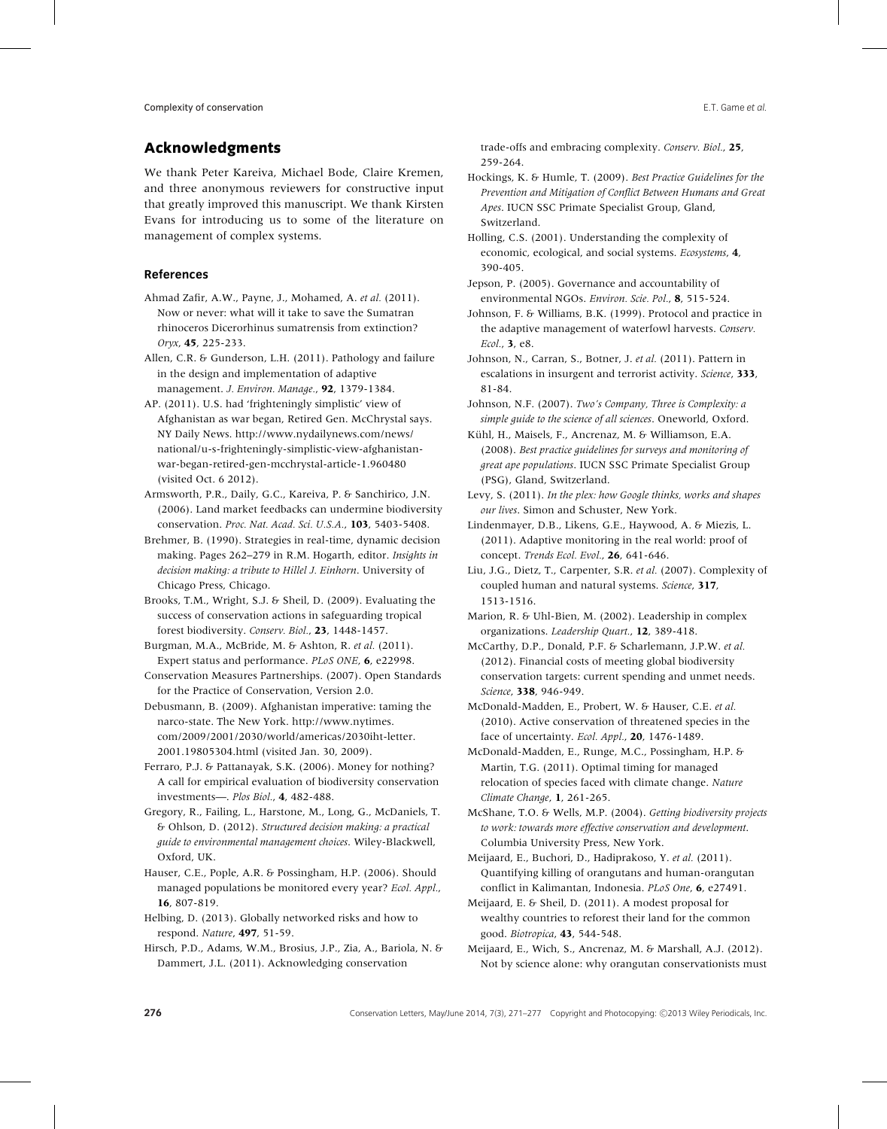# **Acknowledgments**

We thank Peter Kareiva, Michael Bode, Claire Kremen, and three anonymous reviewers for constructive input that greatly improved this manuscript. We thank Kirsten Evans for introducing us to some of the literature on management of complex systems.

### **References**

Ahmad Zafir, A.W., Payne, J., Mohamed, A. *et al.* (2011). Now or never: what will it take to save the Sumatran rhinoceros Dicerorhinus sumatrensis from extinction? *Oryx*, **45**, 225-233.

Allen, C.R. & Gunderson, L.H. (2011). Pathology and failure in the design and implementation of adaptive management. *J. Environ. Manage.*, **92**, 1379-1384.

- AP. (2011). U.S. had 'frighteningly simplistic' view of Afghanistan as war began, Retired Gen. McChrystal says. NY Daily News. http://www.nydailynews.com/news/ national/u-s-frighteningly-simplistic-view-afghanistanwar-began-retired-gen-mcchrystal-article-1.960480 (visited Oct. 6 2012).
- Armsworth, P.R., Daily, G.C., Kareiva, P. & Sanchirico, J.N. (2006). Land market feedbacks can undermine biodiversity conservation. *Proc. Nat. Acad. Sci. U.S.A.*, **103**, 5403-5408.
- Brehmer, B. (1990). Strategies in real-time, dynamic decision making. Pages 262–279 in R.M. Hogarth, editor. *Insights in decision making: a tribute to Hillel J. Einhorn*. University of Chicago Press, Chicago.
- Brooks, T.M., Wright, S.J. & Sheil, D. (2009). Evaluating the success of conservation actions in safeguarding tropical forest biodiversity. *Conserv. Biol.*, **23**, 1448-1457.
- Burgman, M.A., McBride, M. & Ashton, R. *et al.* (2011). Expert status and performance. *PLoS ONE*, **6**, e22998.

Conservation Measures Partnerships. (2007). Open Standards for the Practice of Conservation, Version 2.0.

Debusmann, B. (2009). Afghanistan imperative: taming the narco-state. The New York. http://www.nytimes. com/2009/2001/2030/world/americas/2030iht-letter. 2001.19805304.html (visited Jan. 30, 2009).

Ferraro, P.J. & Pattanayak, S.K. (2006). Money for nothing? A call for empirical evaluation of biodiversity conservation investments—. *Plos Biol.*, **4**, 482-488.

Gregory, R., Failing, L., Harstone, M., Long, G., McDaniels, T. & Ohlson, D. (2012). *Structured decision making: a practical guide to environmental management choices*. Wiley-Blackwell, Oxford, UK.

Hauser, C.E., Pople, A.R. & Possingham, H.P. (2006). Should managed populations be monitored every year? *Ecol. Appl.*, **16**, 807-819.

Helbing, D. (2013). Globally networked risks and how to respond. *Nature*, **497**, 51-59.

Hirsch, P.D., Adams, W.M., Brosius, J.P., Zia, A., Bariola, N. & Dammert, J.L. (2011). Acknowledging conservation

trade-offs and embracing complexity. *Conserv. Biol.*, **25**, 259-264.

- Hockings, K. & Humle, T. (2009). *Best Practice Guidelines for the Prevention and Mitigation of Conflict Between Humans and Great Apes*. IUCN SSC Primate Specialist Group, Gland, Switzerland.
- Holling, C.S. (2001). Understanding the complexity of economic, ecological, and social systems. *Ecosystems*, **4**, 390-405.
- Jepson, P. (2005). Governance and accountability of environmental NGOs. *Environ. Scie. Pol.*, **8**, 515-524.
- Johnson, F. & Williams, B.K. (1999). Protocol and practice in the adaptive management of waterfowl harvests. *Conserv. Ecol.*, **3**, e8.
- Johnson, N., Carran, S., Botner, J. *et al.* (2011). Pattern in escalations in insurgent and terrorist activity. *Science*, **333**, 81-84.
- Johnson, N.F. (2007). *Two's Company, Three is Complexity: a simple guide to the science of all sciences*. Oneworld, Oxford.
- Kühl, H., Maisels, F., Ancrenaz, M. & Williamson, E.A. (2008). *Best practice guidelines for surveys and monitoring of great ape populations*. IUCN SSC Primate Specialist Group (PSG), Gland, Switzerland.
- Levy, S. (2011). *In the plex: how Google thinks, works and shapes our lives*. Simon and Schuster, New York.
- Lindenmayer, D.B., Likens, G.E., Haywood, A. & Miezis, L. (2011). Adaptive monitoring in the real world: proof of concept. *Trends Ecol. Evol.*, **26**, 641-646.
- Liu, J.G., Dietz, T., Carpenter, S.R. *et al.* (2007). Complexity of coupled human and natural systems. *Science*, **317**, 1513-1516.
- Marion, R. & Uhl-Bien, M. (2002). Leadership in complex organizations. *Leadership Quart.*, **12**, 389-418.
- McCarthy, D.P., Donald, P.F. & Scharlemann, J.P.W. *et al.* (2012). Financial costs of meeting global biodiversity conservation targets: current spending and unmet needs. *Science*, **338**, 946-949.
- McDonald-Madden, E., Probert, W. & Hauser, C.E. *et al.* (2010). Active conservation of threatened species in the face of uncertainty. *Ecol. Appl.*, **20**, 1476-1489.
- McDonald-Madden, E., Runge, M.C., Possingham, H.P. & Martin, T.G. (2011). Optimal timing for managed relocation of species faced with climate change. *Nature Climate Change*, **1**, 261-265.

McShane, T.O. & Wells, M.P. (2004). *Getting biodiversity projects to work: towards more effective conservation and development*. Columbia University Press, New York.

Meijaard, E., Buchori, D., Hadiprakoso, Y. *et al.* (2011). Quantifying killing of orangutans and human-orangutan conflict in Kalimantan, Indonesia. *PLoS One*, **6**, e27491.

- Meijaard, E. & Sheil, D. (2011). A modest proposal for wealthy countries to reforest their land for the common good. *Biotropica*, **43**, 544-548.
- Meijaard, E., Wich, S., Ancrenaz, M. & Marshall, A.J. (2012). Not by science alone: why orangutan conservationists must